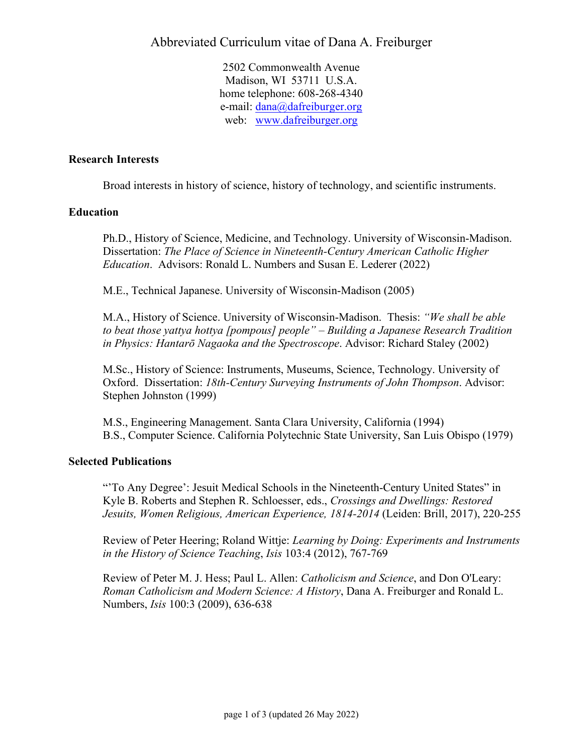2502 Commonwealth Avenue Madison, WI 53711 U.S.A. home telephone: 608-268-4340 e-mail: dana@dafreiburger.org web: www.dafreiburger.org

# **Research Interests**

Broad interests in history of science, history of technology, and scientific instruments.

# **Education**

Ph.D., History of Science, Medicine, and Technology. University of Wisconsin-Madison. Dissertation: *The Place of Science in Nineteenth-Century American Catholic Higher Education*. Advisors: Ronald L. Numbers and Susan E. Lederer (2022)

M.E., Technical Japanese. University of Wisconsin-Madison (2005)

M.A., History of Science. University of Wisconsin-Madison. Thesis: *"We shall be able to beat those yattya hottya [pompous] people" – Building a Japanese Research Tradition in Physics: Hantarō Nagaoka and the Spectroscope*. Advisor: Richard Staley (2002)

M.Sc., History of Science: Instruments, Museums, Science, Technology. University of Oxford. Dissertation: *18th-Century Surveying Instruments of John Thompson*. Advisor: Stephen Johnston (1999)

M.S., Engineering Management. Santa Clara University, California (1994) B.S., Computer Science. California Polytechnic State University, San Luis Obispo (1979)

#### **Selected Publications**

"'To Any Degree': Jesuit Medical Schools in the Nineteenth-Century United States" in Kyle B. Roberts and Stephen R. Schloesser, eds., *Crossings and Dwellings: Restored Jesuits, Women Religious, American Experience, 1814-2014* (Leiden: Brill, 2017), 220-255

Review of Peter Heering; Roland Wittje: *Learning by Doing: Experiments and Instruments in the History of Science Teaching*, *Isis* 103:4 (2012), 767-769

Review of Peter M. J. Hess; Paul L. Allen: *Catholicism and Science*, and Don O'Leary: *Roman Catholicism and Modern Science: A History*, Dana A. Freiburger and Ronald L. Numbers, *Isis* 100:3 (2009), 636-638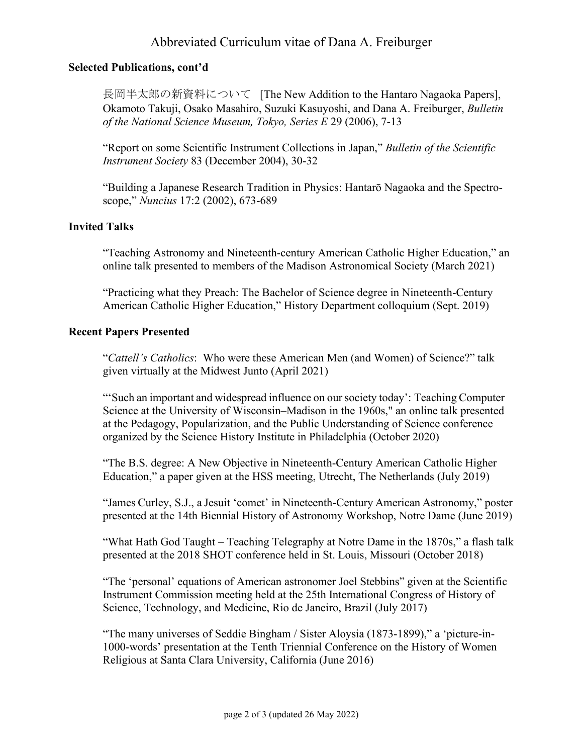# Abbreviated Curriculum vitae of Dana A. Freiburger

# **Selected Publications, cont'd**

長岡半太郎の新資料について [The New Addition to the Hantaro Nagaoka Papers], Okamoto Takuji, Osako Masahiro, Suzuki Kasuyoshi, and Dana A. Freiburger, *Bulletin of the National Science Museum, Tokyo, Series E* 29 (2006), 7-13

"Report on some Scientific Instrument Collections in Japan," *Bulletin of the Scientific Instrument Society* 83 (December 2004), 30-32

"Building a Japanese Research Tradition in Physics: Hantarō Nagaoka and the Spectroscope," *Nuncius* 17:2 (2002), 673-689

# **Invited Talks**

"Teaching Astronomy and Nineteenth-century American Catholic Higher Education," an online talk presented to members of the Madison Astronomical Society (March 2021)

"Practicing what they Preach: The Bachelor of Science degree in Nineteenth-Century American Catholic Higher Education," History Department colloquium (Sept. 2019)

# **Recent Papers Presented**

"*Cattell's Catholics*: Who were these American Men (and Women) of Science?" talk given virtually at the Midwest Junto (April 2021)

"'Such an important and widespread influence on oursociety today': Teaching Computer Science at the University of Wisconsin–Madison in the 1960s," an online talk presented at the Pedagogy, Popularization, and the Public Understanding of Science conference organized by the Science History Institute in Philadelphia (October 2020)

"The B.S. degree: A New Objective in Nineteenth-Century American Catholic Higher Education," a paper given at the HSS meeting, Utrecht, The Netherlands (July 2019)

"James Curley, S.J., a Jesuit 'comet' in Nineteenth-Century American Astronomy," poster presented at the 14th Biennial History of Astronomy Workshop, Notre Dame (June 2019)

"What Hath God Taught – Teaching Telegraphy at Notre Dame in the 1870s," a flash talk presented at the 2018 SHOT conference held in St. Louis, Missouri (October 2018)

"The 'personal' equations of American astronomer Joel Stebbins" given at the Scientific Instrument Commission meeting held at the 25th International Congress of History of Science, Technology, and Medicine, Rio de Janeiro, Brazil (July 2017)

"The many universes of Seddie Bingham / Sister Aloysia (1873-1899)," a 'picture-in-1000-words' presentation at the Tenth Triennial Conference on the History of Women Religious at Santa Clara University, California (June 2016)